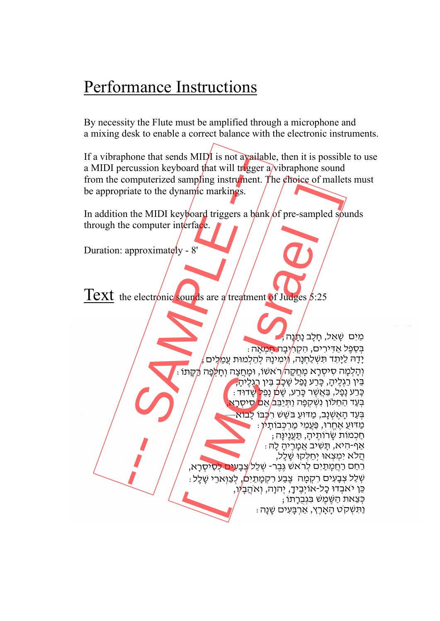## Performance Instructions

By necessity the Flute must be amplified through a microphone and a mixing desk to enable a correct balance with the electronic instruments.

If a vibraphone that sends MID $\hat{I}$  is not available, then it is possible to use a MIDI percussion keyboard that will trigger a/vibraphone sound from the computerized sampling instrument. The choice of mallets must be appropriate to the dynamic markings.

In addition the MIDI keyboard triggers a bank of pre-sampled sounds through the computer interface.

Duration: approximately -  $8'$ 

Text the electronic sounds are a treatment of Judges  $\beta$ :25

roussion keyboard that will trigger a<br>
reussion keyboard that will trigger a<br>
mputerized sampling instrument. The<br>
the MIDI keyboard triggers a bank<br>
e computer inferface.<br>
approximately - 8'<br>
e electronic sounds are a tr namic markings.<br>
Woard triggers a bank of pre-sampled software.<br>
Herfale.<br>
8. The sampled software and the software in the software of the software of the software in the software in the software of the software of the so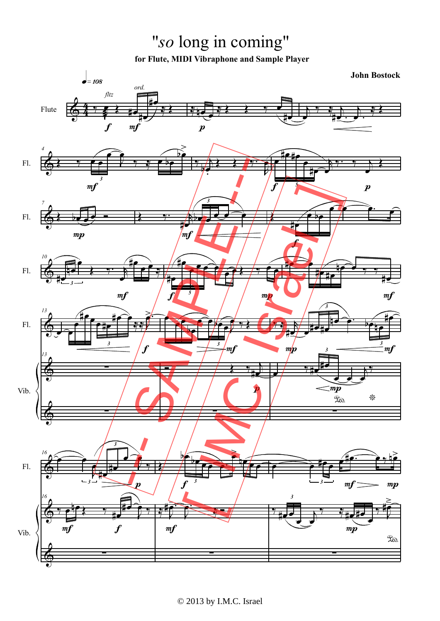"*so* long in coming"

**for Flute, MIDI Vibraphone and Sample Player**